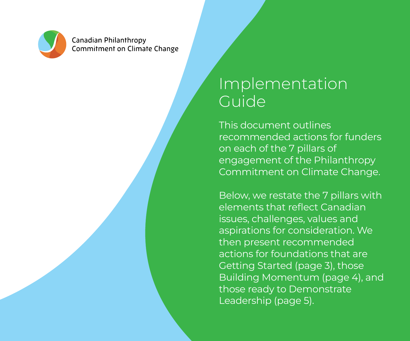

**Canadian Philanthropy Commitment on Climate Change** 

## Implementation Guide

This document outlines recommended actions for funders on each of the 7 pillars of engagement of the Philanthropy Commitment on Climate Change.

Below, we restate the 7 pillars with elements that reflect Canadian issues, challenges, values and aspirations for consideration. We then present recommended actions for foundations that are Getting Started (page 3), those Building Momentum (page 4), and those ready to Demonstrate Leadership (page 5).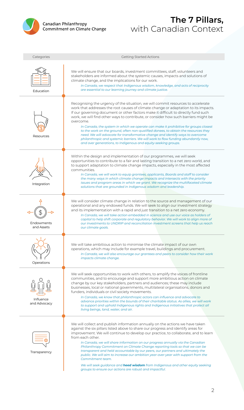

## **The 7 Pillars,** with Canadian Context

| Categories                | <b>Getting Started Actions</b>                                                                                                                                                                                                                                                                                                                                                                                                                                                                                                                                                                                                                                                                                                                                                               |
|---------------------------|----------------------------------------------------------------------------------------------------------------------------------------------------------------------------------------------------------------------------------------------------------------------------------------------------------------------------------------------------------------------------------------------------------------------------------------------------------------------------------------------------------------------------------------------------------------------------------------------------------------------------------------------------------------------------------------------------------------------------------------------------------------------------------------------|
| Education                 | We will ensure that our boards, investment committees, staff, volunteers and<br>stakeholders are informed about the systemic causes, impacts and solutions of<br>climate change, and the implications for our work.<br>In Canada, we respect that Indigenous wisdom, knowledge, and acts of reciprocity<br>are essential to our learning journey and climate justice.                                                                                                                                                                                                                                                                                                                                                                                                                        |
| Resources                 | Recognising the urgency of the situation, we will commit resources to accelerate<br>work that addresses the root causes of climate change or adaptation to its impacts.<br>If our governing document or other factors make it difficult to directly fund such<br>work, we will find other ways to contribute, or consider how such barriers might be<br>overcome.<br>In Canada, the system in which we operate can make it prohibitive for groups closest<br>to the work on the ground, often non-qualified donees, to obtain the resources they<br>need. We will advocate for transformative change and identify ways to overcome<br>philanthropic and systemic barriers. We will work to flow funding abundantly now,<br>and over generations, to Indigenous and equity-seeking groups.    |
| Integration               | Within the design and implementation of our programmes, we will seek<br>opportunities to contribute to a fair and lasting transition to a net zero world, and<br>to support adaptation to climate change impacts, especially in the most affected<br>communities.<br>In Canada, we will work to equip grantees, applicants, Boards and staff to consider<br>the many ways in which climate change impacts and intersects with the priority<br>issues and program areas in which we grant. We recognize the multifaceted climate<br>solutions that are grounded in Indigenous wisdom and leadership.                                                                                                                                                                                          |
| Endowments<br>and Assets  | We will consider climate change in relation to the source and management of our<br>operational and any endowed funds. We will seek to align our investment strategy<br>and its implementation with a rapid and just transition to a net zero economy.<br>In Canada, we will take action embedded in science and use our voice as holders of<br>capital to help shift corporate and regulatory behavior. We will work to align more of<br>our investments to UNDRIP and reconciliation investment screens that help us reach<br>our climate goals.                                                                                                                                                                                                                                            |
| Operations                | We will take ambitious action to minimise the climate impact of our own<br>operations, which may include for example travel, buildings and procurement.<br>In Canada, we will also encourage our grantees and peers to consider how their work<br>impacts climate change.                                                                                                                                                                                                                                                                                                                                                                                                                                                                                                                    |
| Influence<br>and Advocacy | We will seek opportunities to work with others, to amplify the voices of frontline<br>communities, and to encourage and support more ambitious action on climate<br>change by our key stakeholders, partners and audiences; these may include<br>businesses, local or national governments, multilateral organisations, donors and<br>funders, individuals or civil society movements.<br>In Canada, we know that philanthropic actors can influence and advocate to<br>advance priorities within the bounds of their charitable status. As allies, we will work<br>to support and uphold Indigenous rights and Indigenous initiatives that protect all<br>living beings, land, water, and air.                                                                                              |
| Transparency              | We will collect and publish information annually on the actions we have taken<br>against the six pillars listed above to share our progress and identify areas for<br>improvement. We will continue to develop our practice, to collaborate, and to learn<br>from each other.<br>In Canada, we will share information on our progress annually via the Canadian<br>Philanthropy Commitment on Climate Change reporting tools so that we can be<br>transparent and held accountable by our peers, our partners and ultimately the<br>public. We will aim to increase our ambition year-over-year with support from the<br>Commitment team.<br>We will seek guidance and <b>heed wisdom</b> from Indigenous and other equity seeking<br>groups to ensure our actions are robust and impactful. |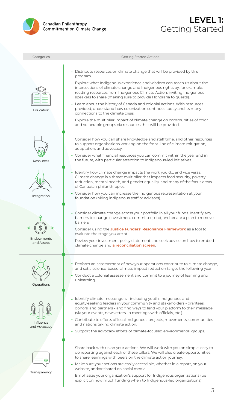



| Categories                | <b>Getting Started Actions</b>                                                                                                                                                                                                                                                                                                                                                                                                                                                                                                                                                                                                                                                                                      |
|---------------------------|---------------------------------------------------------------------------------------------------------------------------------------------------------------------------------------------------------------------------------------------------------------------------------------------------------------------------------------------------------------------------------------------------------------------------------------------------------------------------------------------------------------------------------------------------------------------------------------------------------------------------------------------------------------------------------------------------------------------|
| Education                 | - Distribute resources on climate change that will be provided by this<br>program.<br>- Explore what Indigenous experience and wisdom can teach us about the<br>intersections of climate change and Indigenous rights by, for example:<br>reading resources from Indigenous Climate Action, inviting Indigenous<br>speakers to share (making sure to provide Honoraria to guests).<br>- Learn about the history of Canada and colonial actions. With resources<br>provided, understand how colonization continues today and its many<br>connections to the climate crisis.<br>Explore the multiplier impact of climate change on communities of color<br>and vulnerable groups via resources that will be provided. |
| Resources                 | - Consider how you can share knowledge and staff time, and other resources<br>to support organisations working on the front-line of climate mitigation,<br>adaptation, and advocacy.<br>- Consider what financial resources you can commit within the year and in<br>the future, with particular attention to Indigenous-led initiatives.                                                                                                                                                                                                                                                                                                                                                                           |
| Integration               | - Identify how climate change impacts the work you do, and vice versa.<br>Climate change is a threat multiplier that impacts food security, poverty<br>reduction, mental health, and gender equality, and many of the focus areas<br>of Canadian philanthropies.<br>- Consider how you can increase the Indigenous representation at your<br>foundation (hiring indigenous staff or advisors).                                                                                                                                                                                                                                                                                                                      |
| Endowments<br>and Assets  | - Consider climate change across your portfolio in all your funds. Identify any<br>barriers to change (investment committee, etc), and create a plan to remove<br>barriers.<br>- Consider using the Justice Funders' Resonance Framework as a tool to<br>evaluate the stage you are at.<br>- Review your investment policy statement and seek advice on how to embed<br>climate change and a reconciliation screen.                                                                                                                                                                                                                                                                                                 |
| Operations                | - Perform an assessement of how your operations contribute to climate change,<br>and set a science-based climate impact reduction target the following year.<br>Conduct a colonial assessement and commit to a journey of learning and<br>unlearning.                                                                                                                                                                                                                                                                                                                                                                                                                                                               |
| Influence<br>and Advocacy | - Identify climate messengers - including youth, Indigenous and<br>equity-seeking leaders in your community and stakeholders - grantees,<br>donors, and partners - and find ways to lend your platform to their message<br>(via your events, newsletters, in meetings with officials, etc.).<br>- Contribute to efforts of local Indigenous projects, movements, communities<br>and nations taking climate action.<br>- Support the advocacy efforts of climate-focused environmental groups.                                                                                                                                                                                                                       |
| Transparency              | - Share back with us on your actions. We will work with you on simple, easy to<br>do reporting against each of these pillars. We will also create opportunities<br>to share learnings with peers on the climate action journey.<br>- Make sure your actions are easily accessible, whether in a report, on your<br>website, and/or shared on social media.<br>- Emphasize your organization's support for Indigenous organizations (be<br>explicit on how much funding when to Indigenous-led organizations).<br>3                                                                                                                                                                                                  |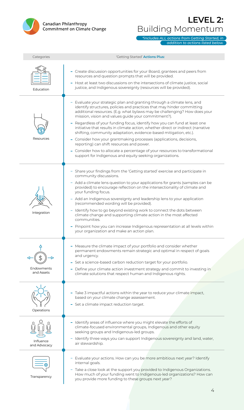

## **LEVEL 2:**  Building Momentum

*\*includes ALL actions from Getting Started, in addition to actions listed below.* 

| Categories                | 'Getting Started' Actions Plus:                                                                                                                                                                                                                                                                                                                                                                                                                                                                                                                                                                                                                                                                                                                                                               |
|---------------------------|-----------------------------------------------------------------------------------------------------------------------------------------------------------------------------------------------------------------------------------------------------------------------------------------------------------------------------------------------------------------------------------------------------------------------------------------------------------------------------------------------------------------------------------------------------------------------------------------------------------------------------------------------------------------------------------------------------------------------------------------------------------------------------------------------|
| Education                 | - Create discussion opportunities for your Board, grantees and peers from<br>resources and question prompts that will be provided.<br>- Host at least two discussions on the intersections of climate justice, social<br>justice, and Indigenous sovereignty (resources will be provided).                                                                                                                                                                                                                                                                                                                                                                                                                                                                                                    |
| Resources                 | - Evaluate your strategic plan and granting through a climate lens, and<br>identify structures, policies and practices that may hinder committing<br>additional resources. (E.g. what bylaws may be challenging? How does your<br>mission, vision and values guide your commitment?).<br>- Regardless of your funding focus, identify how you can fund at least one<br>initiative that results in climate action, whether direct or indirect (narrative<br>shifting, community adaptation, evidence-based mitigation, etc.).<br>- Consider how your grantmaking processes (applications, decisions,<br>reporting) can shift resources and power.<br>- Consider how to allocate a percentage of your resources to transformational<br>support for Indigenous and equity seeking organizations. |
| Integration               | - Share your findings from the 'Getting started' exercise and participate in<br>community discussions.<br>- Add a climate lens question to your applications for grants (samples can be<br>provided) to encourage reflection on the intersectionality of climate and<br>your funding focus.<br>- Add an Indigenous sovereignty and leadership lens to your application<br>(recommended wording will be provided).<br>- Identify how to go beyond existing work to connect the dots between<br>climate change and supporting climate action in the most affected<br>communities.<br>- Pinpoint how you can increase Indigenous representation at all levels within<br>your organization and make an action plan.                                                                               |
| Endowments<br>and Assets  | - Measure the climate impact of your portfolio and consider whether<br>permanent endowments remain strategic and optimal in respect of goals<br>and urgency.<br>- Set a science-based carbon reduction target for your portfolio.<br>- Define your climate action investment strategy and commit to investing in<br>climate solutions that respect human and Indigenous rights.                                                                                                                                                                                                                                                                                                                                                                                                               |
| Operations                | - Take 3 impactful actions within the year to reduce your climate impact,<br>based on your climate change assessement.<br>- Set a climate impact reduction target.                                                                                                                                                                                                                                                                                                                                                                                                                                                                                                                                                                                                                            |
| Influence<br>and Advocacy | - Identify areas of influence where you might elevate the efforts of<br>climate-focused environmental groups, Indigenous and other equity<br>seeking groups and Indigenous-led groups.<br>- Identify three ways you can support Indigenous sovereignty and land, water,<br>air stewardship.                                                                                                                                                                                                                                                                                                                                                                                                                                                                                                   |
| Transparency              | - Evaluate your actions. How can you be more ambitious next year? Identify<br>internal goals.<br>- Take a close look at the support you provided to Indigenous Organizations.<br>How much of your funding went to Indigenous-led organizations? How can<br>you provide more funding to these groups next year?                                                                                                                                                                                                                                                                                                                                                                                                                                                                                |